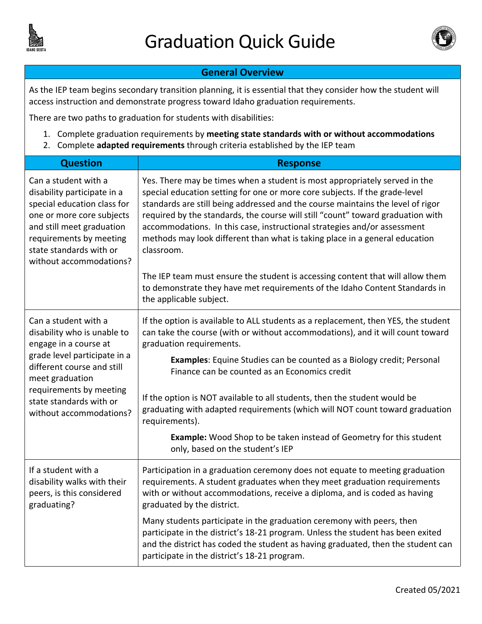



## **General Overview**

As the IEP team begins secondary transition planning, it is essential that they consider how the student will access instruction and demonstrate progress toward Idaho graduation requirements.

There are two paths to graduation for students with disabilities:

- 1. Complete graduation requirements by **meeting state standards with or without accommodations**
- 2. Complete **adapted requirements** through criteria established by the IEP team

| <b>Question</b>                                                                                                                                                                                                                                | <b>Response</b>                                                                                                                                                                                                                                                                                                                                                                                                                                                                                          |
|------------------------------------------------------------------------------------------------------------------------------------------------------------------------------------------------------------------------------------------------|----------------------------------------------------------------------------------------------------------------------------------------------------------------------------------------------------------------------------------------------------------------------------------------------------------------------------------------------------------------------------------------------------------------------------------------------------------------------------------------------------------|
| Can a student with a<br>disability participate in a<br>special education class for<br>one or more core subjects<br>and still meet graduation<br>requirements by meeting<br>state standards with or<br>without accommodations?                  | Yes. There may be times when a student is most appropriately served in the<br>special education setting for one or more core subjects. If the grade-level<br>standards are still being addressed and the course maintains the level of rigor<br>required by the standards, the course will still "count" toward graduation with<br>accommodations. In this case, instructional strategies and/or assessment<br>methods may look different than what is taking place in a general education<br>classroom. |
|                                                                                                                                                                                                                                                | The IEP team must ensure the student is accessing content that will allow them<br>to demonstrate they have met requirements of the Idaho Content Standards in<br>the applicable subject.                                                                                                                                                                                                                                                                                                                 |
| Can a student with a<br>disability who is unable to<br>engage in a course at<br>grade level participate in a<br>different course and still<br>meet graduation<br>requirements by meeting<br>state standards with or<br>without accommodations? | If the option is available to ALL students as a replacement, then YES, the student<br>can take the course (with or without accommodations), and it will count toward<br>graduation requirements.                                                                                                                                                                                                                                                                                                         |
|                                                                                                                                                                                                                                                | Examples: Equine Studies can be counted as a Biology credit; Personal<br>Finance can be counted as an Economics credit                                                                                                                                                                                                                                                                                                                                                                                   |
|                                                                                                                                                                                                                                                | If the option is NOT available to all students, then the student would be<br>graduating with adapted requirements (which will NOT count toward graduation<br>requirements).                                                                                                                                                                                                                                                                                                                              |
|                                                                                                                                                                                                                                                | <b>Example:</b> Wood Shop to be taken instead of Geometry for this student<br>only, based on the student's IEP                                                                                                                                                                                                                                                                                                                                                                                           |
| If a student with a<br>disability walks with their<br>peers, is this considered<br>graduating?                                                                                                                                                 | Participation in a graduation ceremony does not equate to meeting graduation<br>requirements. A student graduates when they meet graduation requirements<br>with or without accommodations, receive a diploma, and is coded as having<br>graduated by the district.                                                                                                                                                                                                                                      |
|                                                                                                                                                                                                                                                | Many students participate in the graduation ceremony with peers, then<br>participate in the district's 18-21 program. Unless the student has been exited<br>and the district has coded the student as having graduated, then the student can<br>participate in the district's 18-21 program.                                                                                                                                                                                                             |